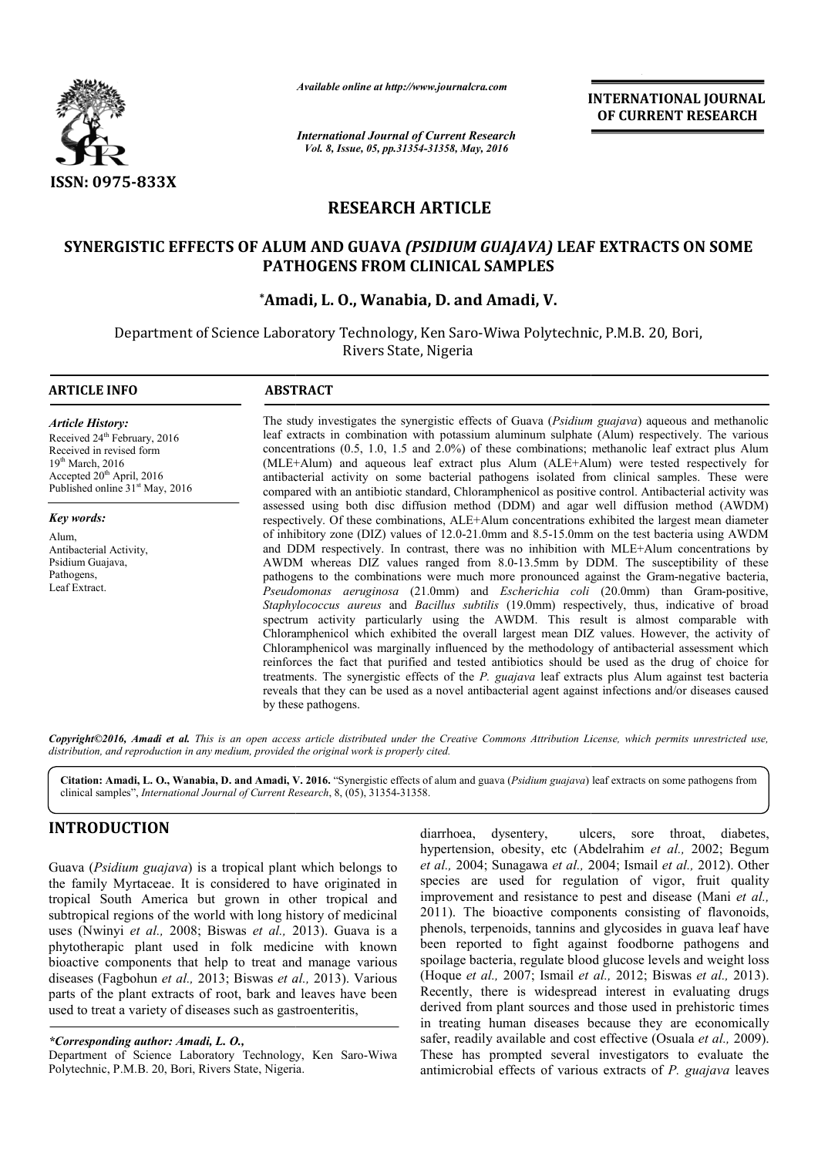

*Available online at http://www.journalcra.com*

*International Journal of Current Research Vol. 8, Issue, 05, pp.31354-31358, May, 2016*

**INTERNATIONAL JOURNAL OF CURRENT RESEARCH** 

# **RESEARCH ARTICLE**

# **SYNERGISTIC EFFECTS OF ALUM AND GUAVA** *(PSIDIUM GUAJAVA)* **LEAF EXTRACTS ON SOME PATHOGENS FROM CLINICAL SAMPLES**

# **\*Amadi, L. O. Amadi, O., Wanabia, D. and Amadi, V.**

Department of Science Laboratory Technology, Ken Saro-Wiwa Polytechnic, P.M.B. 20, Bori, Rivers State, Nigeria

 $\overline{a}$ 

### **ARTICLE INFO ABSTRACT**

*Article History:* Received 24<sup>th</sup> February, 2016 Received in revised form 19<sup>th</sup> March, 2016 Accepted 20<sup>th</sup> April, 2016 Published online 31<sup>st</sup> May, 2016

*Key words:*

Alum, Antibacterial Activity, Psidium Guajava, Pathogens, Leaf Extract.

The study investigates the synergistic effects of Guava (*Psidium guajava* ) aqueous and methanolic leaf extracts in combination with potassium aluminum sulphate (Alum) respectively. The various leaf extracts in combination with potassium aluminum sulphate (Alum) respectively. The various concentrations (0.5, 1.0, 1.5 and 2.0%) of these combinations; methanolic leaf extract plus Alum (MLE+Alum) and aqueous leaf extract plus Alum (ALE+Alum) were tested respectively for antibacterial activity on some bacterial pathogens isolated from clinical samples. These were (MLE+Alum) and aqueous leaf extract plus Alum (ALE+Alum) were tested respectively for antibacterial activity on some bacterial pathogens isolated from clinical samples. These were compared with an antibiotic standard, Chlo assessed using both disc diffusion method (DDM) and agar well diffusion method (AWDM) respectively. Of these combinations, ALE+Alum concentrations exhibited the largest mean diameter of inhibitory zone (DIZ) values of 12.0 12.0-21.0mm and 8.5-15.0mm on the test bacteria using AWDM and DDM respectively. In contrast, there was no inhibition with MLE+Alum concentrations by AWDM whereas DIZ values ranged from 8.0 8.0-13.5mm by DDM. The susceptibility of these pathogens to the combinations were much more pronounced against the Gram *Pseudomonas aeruginosa* (21.0mm) and *Escherichia coli* (20.0mm) than Gram-positive, *Staphylococcus aureus*  and *Bacillus subtilis* (19.0mm) respectively, thus, indicative of broad spectrum activity particularly using the AWDM. This result is almost comparable with Chloramphenicol which exhibited the overall largest mean DIZ values. However, the activity of Chloramphenicol was marginally influenced by the methodology of antibacterial assessment which reinforces the fact that purified and tested antibiotics should be used as the drug of choice for treatments. The synergistic effects of the *P. guajava* leaf extracts plus Alum against test bacteria reveals that they can be used as a novel antibacterial agent against infections and/or diseases caused by these pathogens. assessed using both disc diffusion method (DDM) and agar well diffusion method (AWDM) respectively. Of these combinations, ALE+Alum concentrations exhibited the largest mean diameter of inhibitory zone (DIZ) values of 12.0 *Staphylococcus aureus* and *Bacillus subtilis* (19.0mm) respectively, thus, indicative of spectrum activity particularly using the AWDM. This result is almost comparable Chloramphenicol which exhibited the overall largest

Copyright©2016, Amadi et al. This is an open access article distributed under the Creative Commons Attribution License, which permits unrestricted use, *distribution, and reproduction in any medium, provided the original work is properly cited.*

**Citation: Amadi, L. O., Wanabia, D. and Amadi, V. 2016.** "Synergistic effects of alum and guava (*Psidium guajava*) leaf extracts on some pathogens from pathogens from clinical samples", *International Journal of Current Research* , 8, (05), 31354-31358.

# **INTRODUCTION**

Guava (*Psidium guajava*) is a tropical plant which belongs to the family Myrtaceae. It is considered to have originated in tropical South America but grown in other tropical and subtropical regions of the world with long history of medicinal uses (Nwinyi *et al.,* 2008; Biswas *et al.,* 2013). Guava is a phytotherapic plant used in folk medicine with known bioactive components that help to treat and manage various diseases (Fagbohun *et al.,* 2013; Biswas *et al.,* 2013). Various parts of the plant extracts of root, bark and leaves have been used to treat a variety of diseases such as gastroenteritis,

diarrhoea, dysentery, ulcers, sore throat, diabetes, hypertension, obesity, etc (Abdelrahim *et al.,* 2002; Begum et al., 2004; Sunagawa et al., 2004; Ismail et al., 2012). Other species are used for regulation of vigor, fruit quality species are used for regulation of vigor, fruit quality<br>improvement and resistance to pest and disease (Mani *et al.*, 2011). The bioactive components consisting of flavonoids, phenols, terpenoids, tannins and glycosides in guava leaf have been reported to fight against foodborne pathogens and spoilage bacteria, regulate blood glucose levels and weight loss (Hoque *et al.,* 2007; Ismail *et al.,* 2012; Biswas *et al.,* 2013). Recently, there is widespread interest in evaluating drugs derived from plant sources and those used in prehistoric times in treating human diseases because they are economically safer, readily available and cost effective (Osuala *et al.,* 2009). These has prompted several investigators to evaluate the These has prompted several investigators to evaluate the antimicrobial effects of various extracts of *P. guajava* leaves 2011). The bioactive components consisting of flavonoids, phenols, terpenoids, tannins and glycosides in guava leaf have been reported to fight against foodborne pathogens and spoilage bacteria, regulate blood glucose leve Recently, there is widespread interest in evaluating<br>derived from plant sources and those used in prehistoric<br>in treating human diseases because they are econom

*<sup>\*</sup>Corresponding author: Amadi, L. O.,* 

Department of Science Laboratory Technology, Ken Saro Saro-Wiwa Polytechnic, P.M.B. 20, Bori, Rivers State, Nigeria.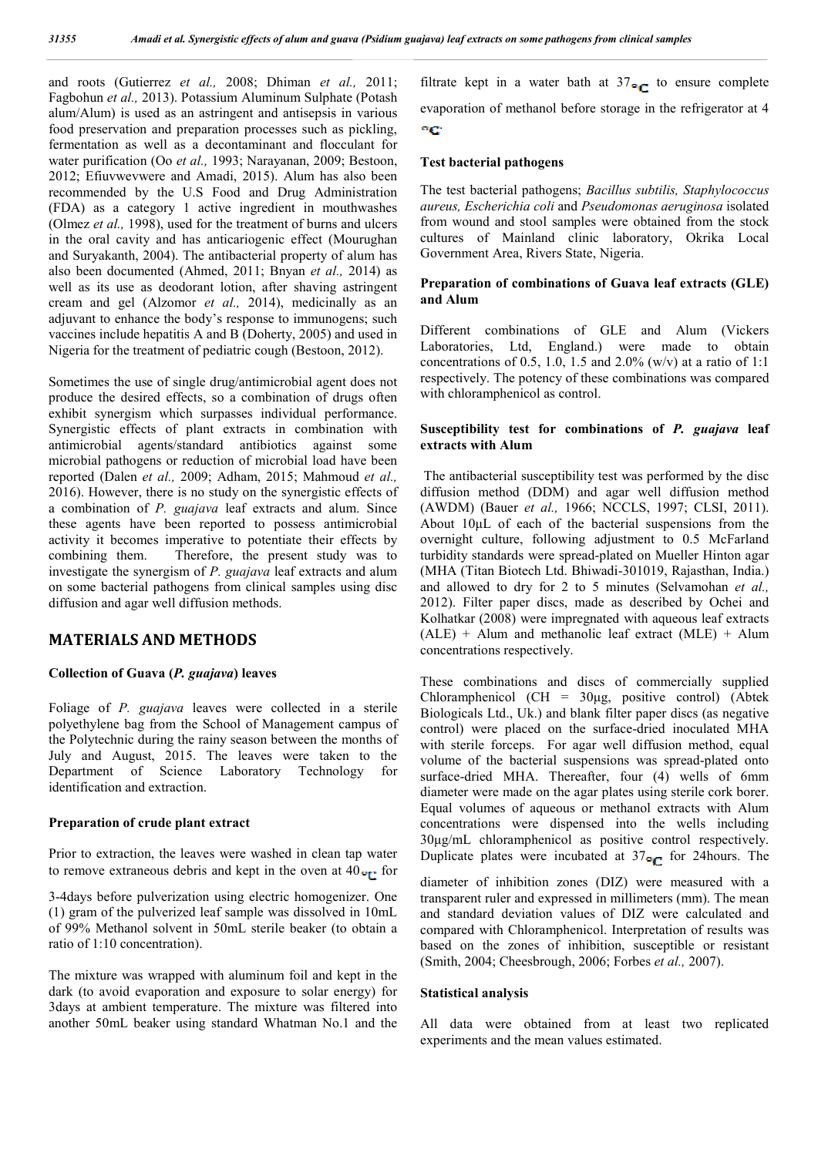and roots (Gutierrez *et al.,* 2008; Dhiman *et al.,* 2011; Fagbohun *et al.,* 2013). Potassium Aluminum Sulphate (Potash alum/Alum) is used as an astringent and antisepsis in various food preservation and preparation processes such as pickling, fermentation as well as a decontaminant and flocculant for water purification (Oo *et al.,* 1993; Narayanan, 2009; Bestoon, 2012; Efiuvwevwere and Amadi, 2015). Alum has also been recommended by the U.S Food and Drug Administration (FDA) as a category 1 active ingredient in mouthwashes (Olmez *et al.,* 1998), used for the treatment of burns and ulcers in the oral cavity and has anticariogenic effect (Mourughan and Suryakanth, 2004). The antibacterial property of alum has also been documented (Ahmed, 2011; Bnyan *et al.,* 2014) as well as its use as deodorant lotion, after shaving astringent cream and gel (Alzomor *et al.,* 2014), medicinally as an adjuvant to enhance the body's response to immunogens; such vaccines include hepatitis A and B (Doherty, 2005) and used in Nigeria for the treatment of pediatric cough (Bestoon, 2012).

Sometimes the use of single drug/antimicrobial agent does not produce the desired effects, so a combination of drugs often exhibit synergism which surpasses individual performance. Synergistic effects of plant extracts in combination with antimicrobial agents/standard antibiotics against some microbial pathogens or reduction of microbial load have been reported (Dalen *et al.,* 2009; Adham, 2015; Mahmoud *et al.,* 2016). However, there is no study on the synergistic effects of a combination of *P. guajava* leaf extracts and alum. Since these agents have been reported to possess antimicrobial activity it becomes imperative to potentiate their effects by combining them. Therefore, the present study was to investigate the synergism of *P. guajava* leaf extracts and alum on some bacterial pathogens from clinical samples using disc diffusion and agar well diffusion methods.

## **MATERIALS AND METHODS**

### **Collection of Guava (***P. guajava***) leaves**

Foliage of *P. guajava* leaves were collected in a sterile polyethylene bag from the School of Management campus of the Polytechnic during the rainy season between the months of July and August, 2015. The leaves were taken to the Department of Science Laboratory Technology for identification and extraction.

#### **Preparation of crude plant extract**

Prior to extraction, the leaves were washed in clean tap water to remove extraneous debris and kept in the oven at  $40\sigma_f$  for

3-4days before pulverization using electric homogenizer. One (1) gram of the pulverized leaf sample was dissolved in 10mL of 99% Methanol solvent in 50mL sterile beaker (to obtain a ratio of 1:10 concentration).

The mixture was wrapped with aluminum foil and kept in the dark (to avoid evaporation and exposure to solar energy) for 3days at ambient temperature. The mixture was filtered into another 50mL beaker using standard Whatman No.1 and the filtrate kept in a water bath at  $37<sub>o</sub>$  to ensure complete evaporation of methanol before storage in the refrigerator at 4 .

#### **Test bacterial pathogens**

The test bacterial pathogens; *Bacillus subtilis, Staphylococcus aureus, Escherichia coli* and *Pseudomonas aeruginosa* isolated from wound and stool samples were obtained from the stock cultures of Mainland clinic laboratory, Okrika Local Government Area, Rivers State, Nigeria.

### **Preparation of combinations of Guava leaf extracts (GLE) and Alum**

Different combinations of GLE and Alum (Vickers Laboratories, Ltd, England.) were made to obtain concentrations of 0.5, 1.0, 1.5 and 2.0% (w/v) at a ratio of 1:1 respectively. The potency of these combinations was compared with chloramphenicol as control.

## **Susceptibility test for combinations of** *P. guajava* **leaf extracts with Alum**

The antibacterial susceptibility test was performed by the disc diffusion method (DDM) and agar well diffusion method (AWDM) (Bauer *et al.,* 1966; NCCLS, 1997; CLSI, 2011). About 10μL of each of the bacterial suspensions from the overnight culture, following adjustment to 0.5 McFarland turbidity standards were spread-plated on Mueller Hinton agar (MHA (Titan Biotech Ltd. Bhiwadi-301019, Rajasthan, India.) and allowed to dry for 2 to 5 minutes (Selvamohan *et al.,* 2012). Filter paper discs, made as described by Ochei and Kolhatkar (2008) were impregnated with aqueous leaf extracts  $(ALE)$  + Alum and methanolic leaf extract  $(MLE)$  + Alum concentrations respectively.

These combinations and discs of commercially supplied Chloramphenicol (CH = 30μg, positive control) (Abtek Biologicals Ltd., Uk.) and blank filter paper discs (as negative control) were placed on the surface-dried inoculated MHA with sterile forceps. For agar well diffusion method, equal volume of the bacterial suspensions was spread-plated onto surface-dried MHA. Thereafter, four (4) wells of 6mm diameter were made on the agar plates using sterile cork borer. Equal volumes of aqueous or methanol extracts with Alum concentrations were dispensed into the wells including 30μg/mL chloramphenicol as positive control respectively. Duplicate plates were incubated at  $37<sub>o</sub>$  for 24 hours. The

diameter of inhibition zones (DIZ) were measured with a transparent ruler and expressed in millimeters (mm). The mean and standard deviation values of DIZ were calculated and compared with Chloramphenicol. Interpretation of results was based on the zones of inhibition, susceptible or resistant (Smith, 2004; Cheesbrough, 2006; Forbes *et al.,* 2007).

#### **Statistical analysis**

All data were obtained from at least two replicated experiments and the mean values estimated.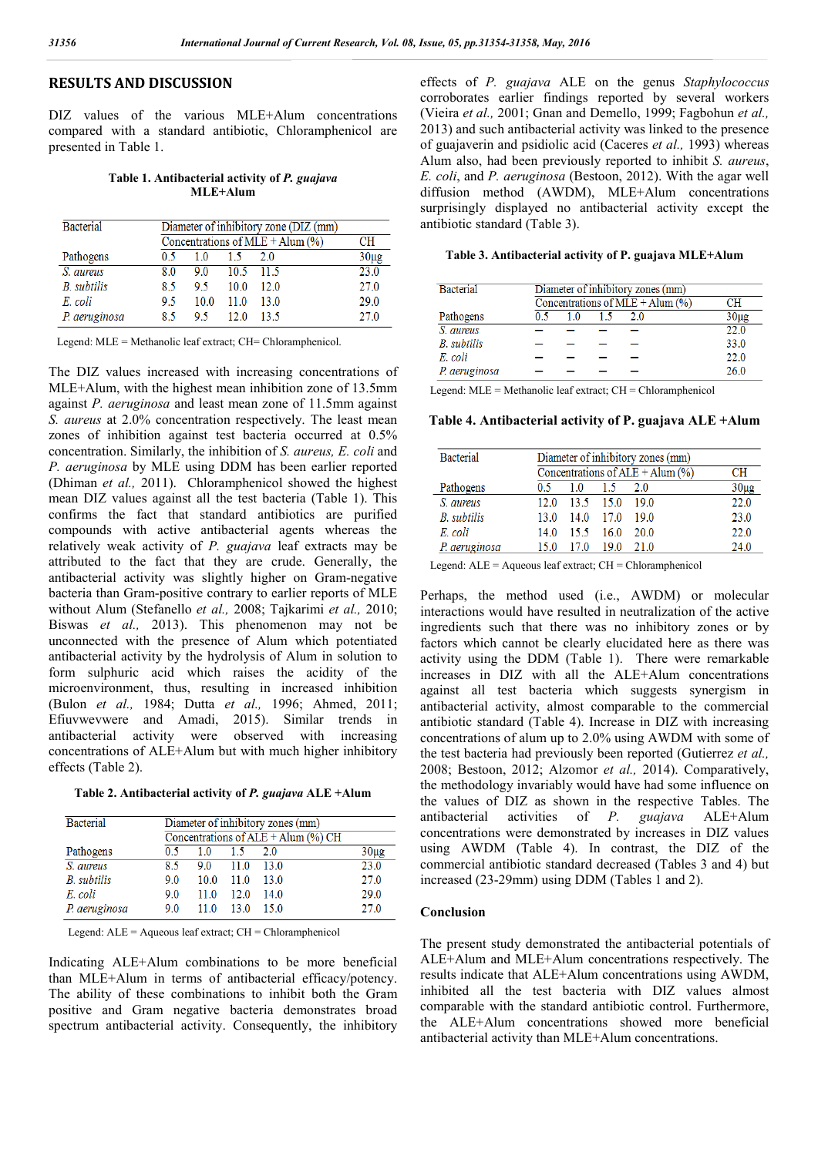## **RESULTS AND DISCUSSION**

DIZ values of the various MLE+Alum concentrations compared with a standard antibiotic, Chloramphenicol are presented in Table 1.

#### **Table 1. Antibacterial activity of** *P. guajava* **MLE+Alum**

| <b>Bacterial</b>   | Diameter of inhibitory zone (DIZ (mm) |      |      |             |          |
|--------------------|---------------------------------------|------|------|-------------|----------|
|                    | Concentrations of MLE + Alum $(\% )$  |      |      |             | CН       |
| Pathogens          | 0.5                                   | 10   | 15   | 2.0         | $30\mug$ |
| S. aureus          | 80                                    | 90   |      | $10.5$ 11.5 | 23.0     |
| <b>B.</b> subtilis | 8.5                                   | 95   | 10.0 | 12.0        | 27.0     |
| E. coli            | 9.5                                   | 10.0 | 11.0 | 13.0        | 29.0     |
| P. aeruginosa      | 85                                    | 95   | 12.0 | 13.5        | 27.0     |

Legend: MLE = Methanolic leaf extract; CH= Chloramphenicol.

The DIZ values increased with increasing concentrations of MLE+Alum, with the highest mean inhibition zone of 13.5mm against *P. aeruginosa* and least mean zone of 11.5mm against *S. aureus* at 2.0% concentration respectively. The least mean zones of inhibition against test bacteria occurred at 0.5% concentration. Similarly, the inhibition of *S. aureus, E. coli* and *P. aeruginosa* by MLE using DDM has been earlier reported (Dhiman *et al.,* 2011). Chloramphenicol showed the highest mean DIZ values against all the test bacteria (Table 1). This confirms the fact that standard antibiotics are purified compounds with active antibacterial agents whereas the relatively weak activity of *P. guajava* leaf extracts may be attributed to the fact that they are crude. Generally, the antibacterial activity was slightly higher on Gram-negative bacteria than Gram-positive contrary to earlier reports of MLE without Alum (Stefanello *et al.,* 2008; Tajkarimi *et al.,* 2010; Biswas *et al.,* 2013). This phenomenon may not be unconnected with the presence of Alum which potentiated antibacterial activity by the hydrolysis of Alum in solution to form sulphuric acid which raises the acidity of the microenvironment, thus, resulting in increased inhibition (Bulon *et al.,* 1984; Dutta *et al.,* 1996; Ahmed, 2011; Efiuvwevwere and Amadi, 2015). Similar trends in antibacterial activity were observed with increasing concentrations of ALE+Alum but with much higher inhibitory effects (Table 2).

**Table 2. Antibacterial activity of** *P. guajava* **ALE +Alum**

| <b>Bacterial</b>   | Diameter of inhibitory zones (mm)     |      |      |      |                  |
|--------------------|---------------------------------------|------|------|------|------------------|
|                    | Concentrations of $ALE + Alum$ (%) CH |      |      |      |                  |
| Pathogens          | 0.5                                   | 10   | 15   | 20   | 30 <sub>µg</sub> |
| S. aureus          | 85                                    | 9.0  | 11.0 | 13.0 | 23.0             |
| <b>B.</b> subtilis | 9.0                                   | 10.0 | 11.0 | 13.0 | 27.0             |
| E. coli            | 9.0                                   | 11.0 | 12.0 | 14.0 | 29.0             |
| P. aeruginosa      | 9.0                                   | 11 0 | 13.0 | 150  | 27.0             |

Legend: ALE = Aqueous leaf extract; CH = Chloramphenicol

Indicating ALE+Alum combinations to be more beneficial than MLE+Alum in terms of antibacterial efficacy/potency. The ability of these combinations to inhibit both the Gram positive and Gram negative bacteria demonstrates broad spectrum antibacterial activity. Consequently, the inhibitory

effects of *P. guajava* ALE on the genus *Staphylococcus* corroborates earlier findings reported by several workers (Vieira *et al.,* 2001; Gnan and Demello, 1999; Fagbohun *et al.,* 2013) and such antibacterial activity was linked to the presence of guajaverin and psidiolic acid (Caceres *et al.,* 1993) whereas Alum also, had been previously reported to inhibit *S. aureus*, *E. coli*, and *P. aeruginosa* (Bestoon, 2012). With the agar well diffusion method (AWDM), MLE+Alum concentrations surprisingly displayed no antibacterial activity except the antibiotic standard (Table 3).

**Table 3. Antibacterial activity of P. guajava MLE+Alum**

| <b>Bacterial</b>   | Diameter of inhibitory zones (mm) |                                     |  |    |                  |
|--------------------|-----------------------------------|-------------------------------------|--|----|------------------|
|                    |                                   | Concentrations of MLE + Alum $(\%)$ |  |    |                  |
| Pathogens          | 05                                | 1.0                                 |  | 20 | 30 <sub>µg</sub> |
| S. aureus          |                                   |                                     |  |    | 22.0             |
| <b>B.</b> subtilis |                                   |                                     |  |    | 33.0             |
| E. coli            |                                   |                                     |  |    | 22.0             |
| P. aeruginosa      |                                   |                                     |  |    | 26.0             |

Legend: MLE = Methanolic leaf extract; CH = Chloramphenicol

**Table 4. Antibacterial activity of P. guajava ALE +Alum**

| <b>Bacterial</b> | Diameter of inhibitory zones (mm)    |      |      |      |                  |
|------------------|--------------------------------------|------|------|------|------------------|
|                  | Concentrations of ALE + Alum $(\% )$ |      |      | CH   |                  |
| Pathogens        | 05                                   | 1.0  | 1.5  | 2.0  | 30 <sub>µg</sub> |
| S. aureus        | 12.0                                 | 13.5 | 15.0 | 19.0 | 22.0             |
| B. subtilis      | 13.0                                 | 14.0 | 17.0 | 19.0 | 23.0             |
| E. coli          | 14.0                                 | 15.5 | 16.0 | 20.0 | 22.0             |
| P. aeruginosa    | 150                                  | 17 0 | 19.0 | 21.0 | 24.0             |

Legend: ALE = Aqueous leaf extract; CH = Chloramphenicol

Perhaps, the method used (i.e., AWDM) or molecular interactions would have resulted in neutralization of the active ingredients such that there was no inhibitory zones or by factors which cannot be clearly elucidated here as there was activity using the DDM (Table 1). There were remarkable increases in DIZ with all the ALE+Alum concentrations against all test bacteria which suggests synergism in antibacterial activity, almost comparable to the commercial antibiotic standard (Table 4). Increase in DIZ with increasing concentrations of alum up to 2.0% using AWDM with some of the test bacteria had previously been reported (Gutierrez *et al.,* 2008; Bestoon, 2012; Alzomor *et al.,* 2014). Comparatively, the methodology invariably would have had some influence on the values of DIZ as shown in the respective Tables. The antibacterial activities of *P. guajava* ALE+Alum concentrations were demonstrated by increases in DIZ values using AWDM (Table 4). In contrast, the DIZ of the commercial antibiotic standard decreased (Tables 3 and 4) but increased (23-29mm) using DDM (Tables 1 and 2).

#### **Conclusion**

The present study demonstrated the antibacterial potentials of ALE+Alum and MLE+Alum concentrations respectively. The results indicate that ALE+Alum concentrations using AWDM, inhibited all the test bacteria with DIZ values almost comparable with the standard antibiotic control. Furthermore, the ALE+Alum concentrations showed more beneficial antibacterial activity than MLE+Alum concentrations.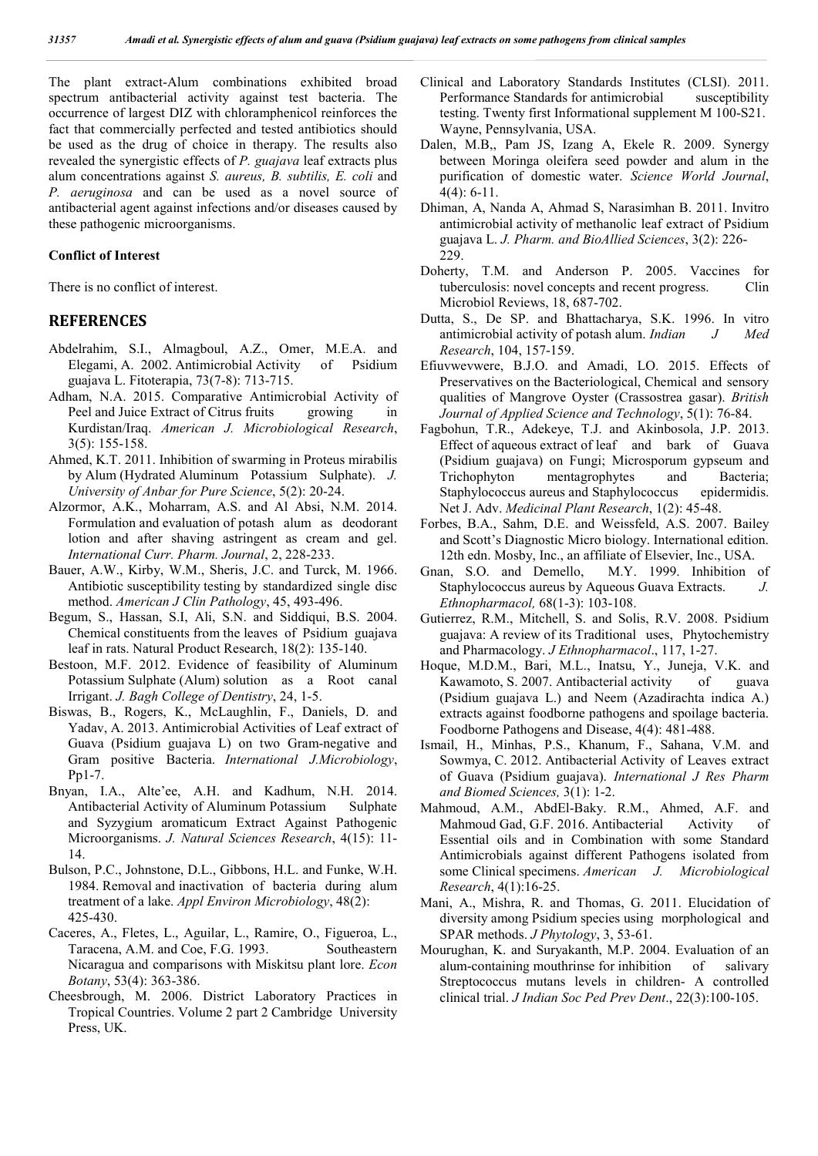The plant extract-Alum combinations exhibited broad spectrum antibacterial activity against test bacteria. The occurrence of largest DIZ with chloramphenicol reinforces the fact that commercially perfected and tested antibiotics should be used as the drug of choice in therapy. The results also revealed the synergistic effects of *P. guajava* leaf extracts plus alum concentrations against *S. aureus, B. subtilis, E. coli* and *P. aeruginosa* and can be used as a novel source of antibacterial agent against infections and/or diseases caused by these pathogenic microorganisms.

#### **Conflict of Interest**

There is no conflict of interest.

## **REFERENCES**

- Abdelrahim, S.I., Almagboul, A.Z., Omer, M.E.A. and Elegami, A. 2002. Antimicrobial Activity of Psidium guajava L. Fitoterapia, 73(7-8): 713-715.
- Adham, N.A. 2015. Comparative Antimicrobial Activity of Peel and Juice Extract of Citrus fruits growing in Kurdistan/Iraq. *American J. Microbiological Research*, 3(5): 155-158.
- Ahmed, K.T. 2011. Inhibition of swarming in Proteus mirabilis by Alum (Hydrated Aluminum Potassium Sulphate). *J. University of Anbar for Pure Science*, 5(2): 20-24.
- Alzormor, A.K., Moharram, A.S. and Al Absi, N.M. 2014. Formulation and evaluation of potash alum as deodorant lotion and after shaving astringent as cream and gel. *International Curr. Pharm. Journal*, 2, 228-233.
- Bauer, A.W., Kirby, W.M., Sheris, J.C. and Turck, M. 1966. Antibiotic susceptibility testing by standardized single disc method. *American J Clin Pathology*, 45, 493-496.
- Begum, S., Hassan, S.I, Ali, S.N. and Siddiqui, B.S. 2004. Chemical constituents from the leaves of Psidium guajava leaf in rats. Natural Product Research, 18(2): 135-140.
- Bestoon, M.F. 2012. Evidence of feasibility of Aluminum Potassium Sulphate (Alum) solution as a Root canal Irrigant. *J. Bagh College of Dentistry*, 24, 1-5.
- Biswas, B., Rogers, K., McLaughlin, F., Daniels, D. and Yadav, A. 2013. Antimicrobial Activities of Leaf extract of Guava (Psidium guajava L) on two Gram-negative and Gram positive Bacteria. *International J.Microbiology*, Pp1-7.
- Bnyan, I.A., Alte'ee, A.H. and Kadhum, N.H. 2014. Antibacterial Activity of Aluminum Potassium Sulphate and Syzygium aromaticum Extract Against Pathogenic Microorganisms. *J. Natural Sciences Research*, 4(15): 11- 14.
- Bulson, P.C., Johnstone, D.L., Gibbons, H.L. and Funke, W.H. 1984. Removal and inactivation of bacteria during alum treatment of a lake. *Appl Environ Microbiology*, 48(2): 425-430.
- Caceres, A., Fletes, L., Aguilar, L., Ramire, O., Figueroa, L., Taracena, A.M. and Coe, F.G. 1993. Southeastern Nicaragua and comparisons with Miskitsu plant lore. *Econ Botany*, 53(4): 363-386.
- Cheesbrough, M. 2006. District Laboratory Practices in Tropical Countries. Volume 2 part 2 Cambridge University Press, UK.
- Clinical and Laboratory Standards Institutes (CLSI). 2011. Performance Standards for antimicrobial susceptibility testing. Twenty first Informational supplement M 100-S21. Wayne, Pennsylvania, USA.
- Dalen, M.B,, Pam JS, Izang A, Ekele R. 2009. Synergy between Moringa oleifera seed powder and alum in the purification of domestic water. *Science World Journal*, 4(4): 6-11.
- Dhiman, A, Nanda A, Ahmad S, Narasimhan B. 2011. Invitro antimicrobial activity of methanolic leaf extract of Psidium guajava L. *J. Pharm. and BioAllied Sciences*, 3(2): 226- 229.
- Doherty, T.M. and Anderson P. 2005. Vaccines for tuberculosis: novel concepts and recent progress. Clin Microbiol Reviews, 18, 687-702.
- Dutta, S., De SP. and Bhattacharya, S.K. 1996. In vitro antimicrobial activity of potash alum. *Indian J Med Research*, 104, 157-159.
- Efiuvwevwere, B.J.O. and Amadi, LO. 2015. Effects of Preservatives on the Bacteriological, Chemical and sensory qualities of Mangrove Oyster (Crassostrea gasar). *British Journal of Applied Science and Technology*, 5(1): 76-84.
- Fagbohun, T.R., Adekeye, T.J. and Akinbosola, J.P. 2013. Effect of aqueous extract of leaf and bark of Guava (Psidium guajava) on Fungi; Microsporum gypseum and Trichophyton mentagrophytes and Bacteria; Staphylococcus aureus and Staphylococcus epidermidis. Net J. Adv. *Medicinal Plant Research*, 1(2): 45-48.
- Forbes, B.A., Sahm, D.E. and Weissfeld, A.S. 2007. Bailey and Scott's Diagnostic Micro biology. International edition. 12th edn. Mosby, Inc., an affiliate of Elsevier, Inc., USA.
- Gnan, S.O. and Demello, M.Y. 1999. Inhibition of Staphylococcus aureus by Aqueous Guava Extracts. *J. Ethnopharmacol,* 68(1-3): 103-108.
- Gutierrez, R.M., Mitchell, S. and Solis, R.V. 2008. Psidium guajava: A review of its Traditional uses, Phytochemistry and Pharmacology. *J Ethnopharmacol*., 117, 1-27.
- Hoque, M.D.M., Bari, M.L., Inatsu, Y., Juneja, V.K. and Kawamoto, S. 2007. Antibacterial activity of guava (Psidium guajava L.) and Neem (Azadirachta indica A.) extracts against foodborne pathogens and spoilage bacteria. Foodborne Pathogens and Disease, 4(4): 481-488.
- Ismail, H., Minhas, P.S., Khanum, F., Sahana, V.M. and Sowmya, C. 2012. Antibacterial Activity of Leaves extract of Guava (Psidium guajava). *International J Res Pharm and Biomed Sciences,* 3(1): 1-2.
- Mahmoud, A.M., AbdEl-Baky. R.M., Ahmed, A.F. and Mahmoud Gad, G.F. 2016. Antibacterial Activity of Essential oils and in Combination with some Standard Antimicrobials against different Pathogens isolated from some Clinical specimens. *American J. Microbiological Research*, 4(1):16-25.
- Mani, A., Mishra, R. and Thomas, G. 2011. Elucidation of diversity among Psidium species using morphological and SPAR methods. *J Phytology*, 3, 53-61.
- Mourughan, K. and Suryakanth, M.P. 2004. Evaluation of an alum-containing mouthrinse for inhibition of salivary Streptococcus mutans levels in children- A controlled clinical trial. *J Indian Soc Ped Prev Dent*., 22(3):100-105.